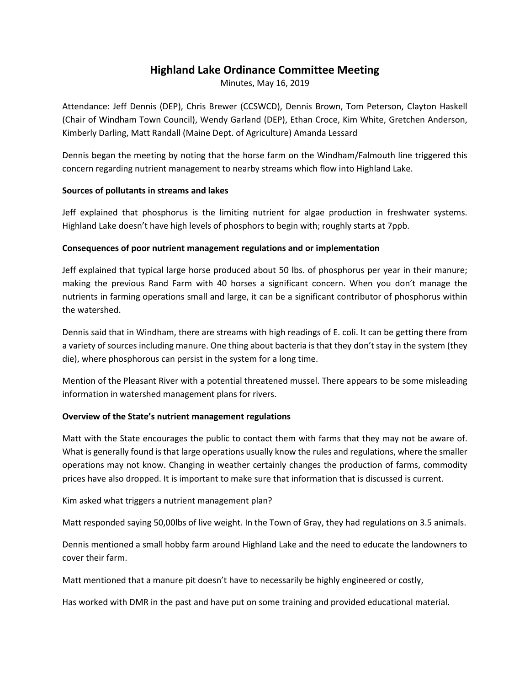# **Highland Lake Ordinance Committee Meeting**

Minutes, May 16, 2019

Attendance: Jeff Dennis (DEP), Chris Brewer (CCSWCD), Dennis Brown, Tom Peterson, Clayton Haskell (Chair of Windham Town Council), Wendy Garland (DEP), Ethan Croce, Kim White, Gretchen Anderson, Kimberly Darling, Matt Randall (Maine Dept. of Agriculture) Amanda Lessard

Dennis began the meeting by noting that the horse farm on the Windham/Falmouth line triggered this concern regarding nutrient management to nearby streams which flow into Highland Lake.

### **Sources of pollutants in streams and lakes**

Jeff explained that phosphorus is the limiting nutrient for algae production in freshwater systems. Highland Lake doesn't have high levels of phosphors to begin with; roughly starts at 7ppb.

## **Consequences of poor nutrient management regulations and or implementation**

Jeff explained that typical large horse produced about 50 lbs. of phosphorus per year in their manure; making the previous Rand Farm with 40 horses a significant concern. When you don't manage the nutrients in farming operations small and large, it can be a significant contributor of phosphorus within the watershed.

Dennis said that in Windham, there are streams with high readings of E. coli. It can be getting there from a variety of sources including manure. One thing about bacteria is that they don't stay in the system (they die), where phosphorous can persist in the system for a long time.

Mention of the Pleasant River with a potential threatened mussel. There appears to be some misleading information in watershed management plans for rivers.

# **Overview of the State's nutrient management regulations**

Matt with the State encourages the public to contact them with farms that they may not be aware of. What is generally found is that large operations usually know the rules and regulations, where the smaller operations may not know. Changing in weather certainly changes the production of farms, commodity prices have also dropped. It is important to make sure that information that is discussed is current.

Kim asked what triggers a nutrient management plan?

Matt responded saying 50,00lbs of live weight. In the Town of Gray, they had regulations on 3.5 animals.

Dennis mentioned a small hobby farm around Highland Lake and the need to educate the landowners to cover their farm.

Matt mentioned that a manure pit doesn't have to necessarily be highly engineered or costly,

Has worked with DMR in the past and have put on some training and provided educational material.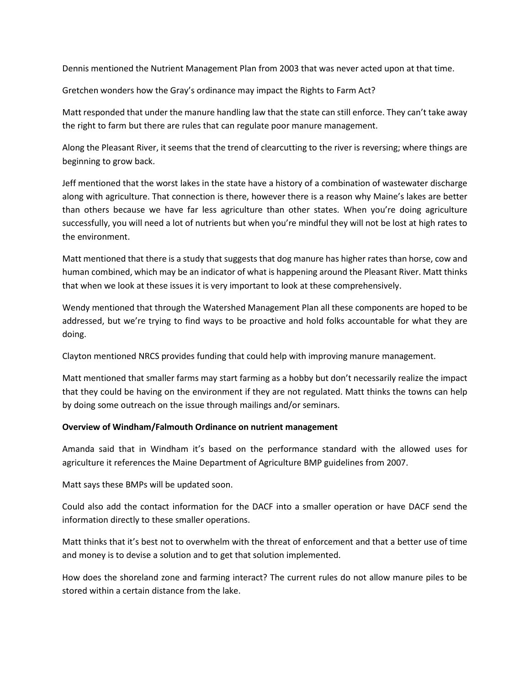Dennis mentioned the Nutrient Management Plan from 2003 that was never acted upon at that time.

Gretchen wonders how the Gray's ordinance may impact the Rights to Farm Act?

Matt responded that under the manure handling law that the state can still enforce. They can't take away the right to farm but there are rules that can regulate poor manure management.

Along the Pleasant River, it seems that the trend of clearcutting to the river is reversing; where things are beginning to grow back.

Jeff mentioned that the worst lakes in the state have a history of a combination of wastewater discharge along with agriculture. That connection is there, however there is a reason why Maine's lakes are better than others because we have far less agriculture than other states. When you're doing agriculture successfully, you will need a lot of nutrients but when you're mindful they will not be lost at high rates to the environment.

Matt mentioned that there is a study that suggests that dog manure has higher rates than horse, cow and human combined, which may be an indicator of what is happening around the Pleasant River. Matt thinks that when we look at these issues it is very important to look at these comprehensively.

Wendy mentioned that through the Watershed Management Plan all these components are hoped to be addressed, but we're trying to find ways to be proactive and hold folks accountable for what they are doing.

Clayton mentioned NRCS provides funding that could help with improving manure management.

Matt mentioned that smaller farms may start farming as a hobby but don't necessarily realize the impact that they could be having on the environment if they are not regulated. Matt thinks the towns can help by doing some outreach on the issue through mailings and/or seminars.

### **Overview of Windham/Falmouth Ordinance on nutrient management**

Amanda said that in Windham it's based on the performance standard with the allowed uses for agriculture it references the Maine Department of Agriculture BMP guidelines from 2007.

Matt says these BMPs will be updated soon.

Could also add the contact information for the DACF into a smaller operation or have DACF send the information directly to these smaller operations.

Matt thinks that it's best not to overwhelm with the threat of enforcement and that a better use of time and money is to devise a solution and to get that solution implemented.

How does the shoreland zone and farming interact? The current rules do not allow manure piles to be stored within a certain distance from the lake.